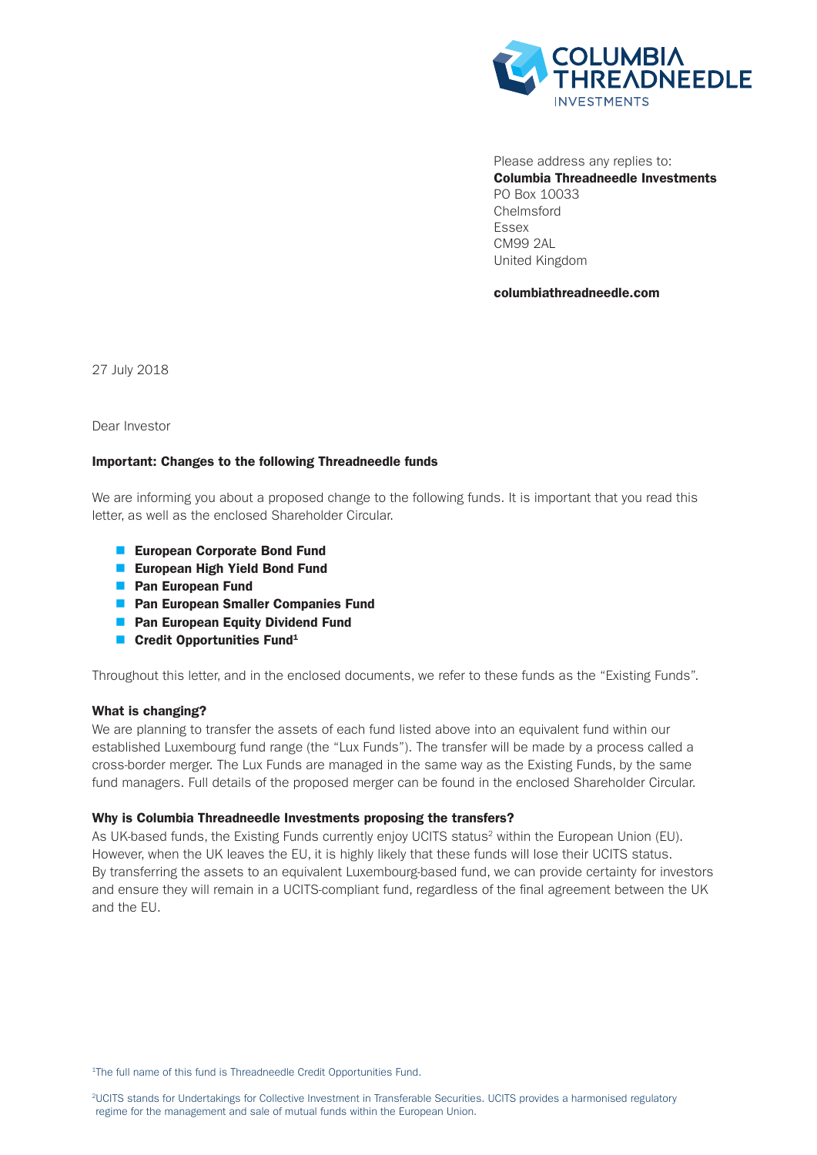

Please address any replies to: Columbia Threadneedle Investments PO Box 10033 Chelmsford Essex CM99 2AL United Kingdom

columbiathreadneedle.com

27 July 2018

Dear Investor

# Important: Changes to the following Threadneedle funds

We are informing you about a proposed change to the following funds. It is important that you read this letter, as well as the enclosed Shareholder Circular.

- European Corporate Bond Fund
- **European High Yield Bond Fund**
- **n** Pan European Fund
- **n** Pan European Smaller Companies Fund
- **n** Pan European Equity Dividend Fund
- **n** Credit Opportunities Fund<sup>1</sup>

Throughout this letter, and in the enclosed documents, we refer to these funds as the "Existing Funds".

### What is changing?

We are planning to transfer the assets of each fund listed above into an equivalent fund within our established Luxembourg fund range (the "Lux Funds"). The transfer will be made by a process called a cross-border merger. The Lux Funds are managed in the same way as the Existing Funds, by the same fund managers. Full details of the proposed merger can be found in the enclosed Shareholder Circular.

### Why is Columbia Threadneedle Investments proposing the transfers?

As UK-based funds, the Existing Funds currently enjoy UCITS status<sup>2</sup> within the European Union (EU). However, when the UK leaves the EU, it is highly likely that these funds will lose their UCITS status. By transferring the assets to an equivalent Luxembourg-based fund, we can provide certainty for investors and ensure they will remain in a UCITS-compliant fund, regardless of the final agreement between the UK and the EU.

<sup>1</sup>The full name of this fund is Threadneedle Credit Opportunities Fund.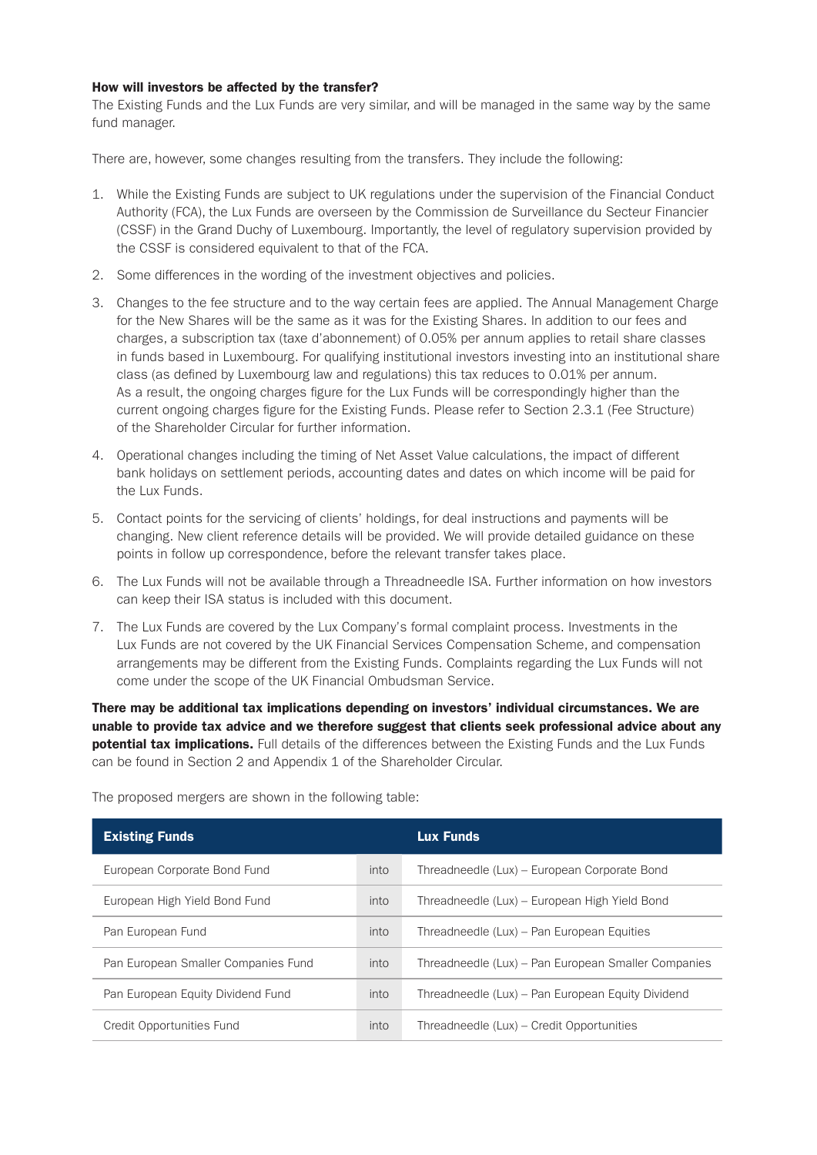# How will investors be affected by the transfer?

The Existing Funds and the Lux Funds are very similar, and will be managed in the same way by the same fund manager.

There are, however, some changes resulting from the transfers. They include the following:

- 1. While the Existing Funds are subject to UK regulations under the supervision of the Financial Conduct Authority (FCA), the Lux Funds are overseen by the Commission de Surveillance du Secteur Financier (CSSF) in the Grand Duchy of Luxembourg. Importantly, the level of regulatory supervision provided by the CSSF is considered equivalent to that of the FCA.
- 2. Some differences in the wording of the investment objectives and policies.
- 3. Changes to the fee structure and to the way certain fees are applied. The Annual Management Charge for the New Shares will be the same as it was for the Existing Shares. In addition to our fees and charges, a subscription tax (taxe d'abonnement) of 0.05% per annum applies to retail share classes in funds based in Luxembourg. For qualifying institutional investors investing into an institutional share class (as defined by Luxembourg law and regulations) this tax reduces to 0.01% per annum. As a result, the ongoing charges figure for the Lux Funds will be correspondingly higher than the current ongoing charges figure for the Existing Funds. Please refer to Section 2.3.1 (Fee Structure) of the Shareholder Circular for further information.
- 4. Operational changes including the timing of Net Asset Value calculations, the impact of different bank holidays on settlement periods, accounting dates and dates on which income will be paid for the Lux Funds.
- 5. Contact points for the servicing of clients' holdings, for deal instructions and payments will be changing. New client reference details will be provided. We will provide detailed guidance on these points in follow up correspondence, before the relevant transfer takes place.
- 6. The Lux Funds will not be available through a Threadneedle ISA. Further information on how investors can keep their ISA status is included with this document.
- 7. The Lux Funds are covered by the Lux Company's formal complaint process. Investments in the Lux Funds are not covered by the UK Financial Services Compensation Scheme, and compensation arrangements may be different from the Existing Funds. Complaints regarding the Lux Funds will not come under the scope of the UK Financial Ombudsman Service.

There may be additional tax implications depending on investors' individual circumstances. We are unable to provide tax advice and we therefore suggest that clients seek professional advice about any **potential tax implications.** Full details of the differences between the Existing Funds and the Lux Funds can be found in Section 2 and Appendix 1 of the Shareholder Circular.

| <b>Existing Funds</b>               |      | <b>Lux Funds</b>                                    |
|-------------------------------------|------|-----------------------------------------------------|
| European Corporate Bond Fund        | into | Threadneedle (Lux) – European Corporate Bond        |
| European High Yield Bond Fund       | into | Threadneedle (Lux) – European High Yield Bond       |
| Pan European Fund                   | into | Threadneedle (Lux) – Pan European Equities          |
| Pan European Smaller Companies Fund | into | Threadneedle (Lux) – Pan European Smaller Companies |
| Pan European Equity Dividend Fund   | into | Threadneedle (Lux) – Pan European Equity Dividend   |
| Credit Opportunities Fund           | into | Threadneedle (Lux) – Credit Opportunities           |

The proposed mergers are shown in the following table: